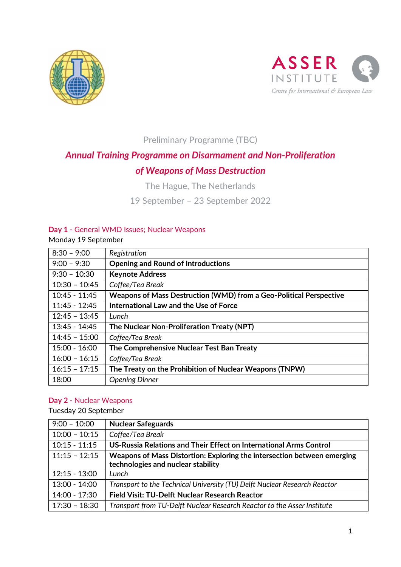



Preliminary Programme (TBC)

# *Annual Training Programme on Disarmament and Non-Proliferation of Weapons of Mass Destruction*

The Hague, The Netherlands

19 September – 23 September 2022

#### **Day 1** - General WMD Issues; Nuclear Weapons

Monday 19 September

| $8:30 - 9:00$   | Registration                                                       |
|-----------------|--------------------------------------------------------------------|
| $9:00 - 9:30$   | <b>Opening and Round of Introductions</b>                          |
| $9:30 - 10:30$  | <b>Keynote Address</b>                                             |
| $10:30 - 10:45$ | Coffee/Tea Break                                                   |
| $10:45 - 11:45$ | Weapons of Mass Destruction (WMD) from a Geo-Political Perspective |
| $11:45 - 12:45$ | International Law and the Use of Force                             |
| $12:45 - 13:45$ | Lunch                                                              |
| $13:45 - 14:45$ | The Nuclear Non-Proliferation Treaty (NPT)                         |
| $14:45 - 15:00$ | Coffee/Tea Break                                                   |
| $15:00 - 16:00$ | The Comprehensive Nuclear Test Ban Treaty                          |
| $16:00 - 16:15$ | Coffee/Tea Break                                                   |
| $16:15 - 17:15$ | The Treaty on the Prohibition of Nuclear Weapons (TNPW)            |
| 18:00           | <b>Opening Dinner</b>                                              |

#### **Day 2** - Nuclear Weapons

Tuesday 20 September

| $9:00 - 10:00$  | <b>Nuclear Safeguards</b>                                                 |
|-----------------|---------------------------------------------------------------------------|
| $10:00 - 10:15$ | Coffee/Tea Break                                                          |
| $10:15 - 11:15$ | US-Russia Relations and Their Effect on International Arms Control        |
| $11:15 - 12:15$ | Weapons of Mass Distortion: Exploring the intersection between emerging   |
|                 | technologies and nuclear stability                                        |
| $12:15 - 13:00$ | Lunch                                                                     |
| $13:00 - 14:00$ | Transport to the Technical University (TU) Delft Nuclear Research Reactor |
| 14:00 - 17:30   | <b>Field Visit: TU-Delft Nuclear Research Reactor</b>                     |
| $17:30 - 18:30$ | Transport from TU-Delft Nuclear Research Reactor to the Asser Institute   |